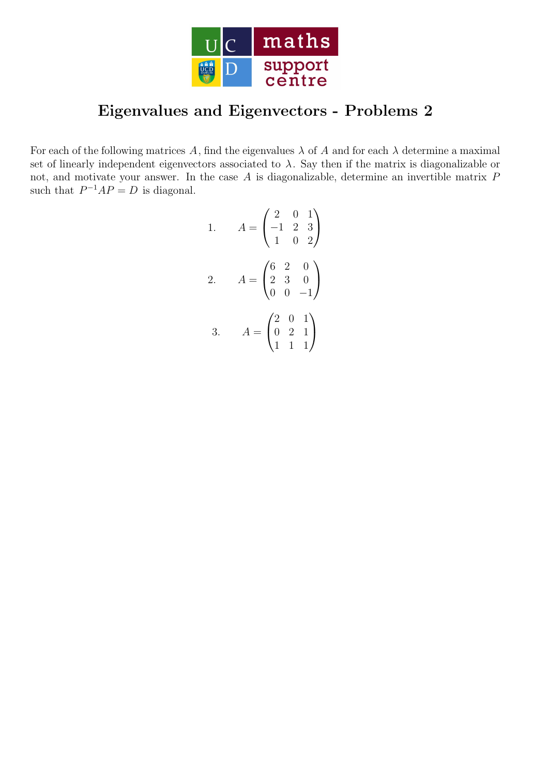

## Eigenvalues and Eigenvectors - Problems 2

For each of the following matrices A, find the eigenvalues  $\lambda$  of A and for each  $\lambda$  determine a maximal set of linearly independent eigenvectors associated to  $\lambda$ . Say then if the matrix is diagonalizable or not, and motivate your answer. In the case A is diagonalizable, determine an invertible matrix P such that  $P^{-1}AP = D$  is diagonal.

1. 
$$
A = \begin{pmatrix} 2 & 0 & 1 \\ -1 & 2 & 3 \\ 1 & 0 & 2 \end{pmatrix}
$$
  
\n2.  $A = \begin{pmatrix} 6 & 2 & 0 \\ 2 & 3 & 0 \\ 0 & 0 & -1 \end{pmatrix}$   
\n3.  $A = \begin{pmatrix} 2 & 0 & 1 \\ 0 & 2 & 1 \\ 1 & 1 & 1 \end{pmatrix}$